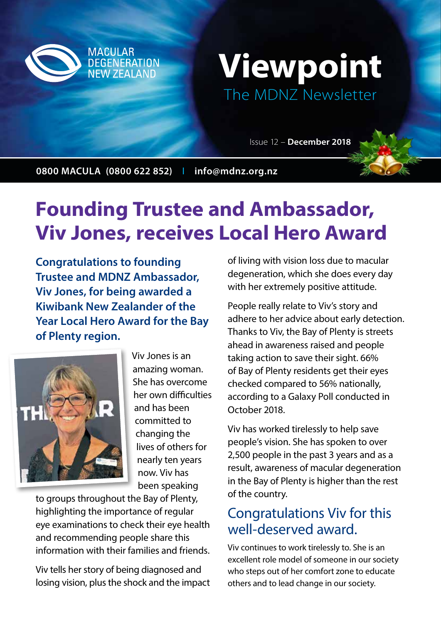

# **Viewpoint**  The MDNZ Newsletter

Issue 12 – **December 2018**

**0800 MACULA (0800 622 852)** I **info@mdnz.org.nz**

# **Founding Trustee and Ambassador, Viv Jones, receives Local Hero Award**

**Congratulations to founding Trustee and MDNZ Ambassador, Viv Jones, for being awarded a Kiwibank New Zealander of the Year Local Hero Award for the Bay of Plenty region.**



Viv Jones is an amazing woman. She has overcome her own difficulties and has been committed to changing the lives of others for nearly ten years now. Viv has been speaking

to groups throughout the Bay of Plenty, highlighting the importance of regular eye examinations to check their eye health and recommending people share this information with their families and friends.

Viv tells her story of being diagnosed and losing vision, plus the shock and the impact

of living with vision loss due to macular degeneration, which she does every day with her extremely positive attitude.

People really relate to Viv's story and adhere to her advice about early detection. Thanks to Viv, the Bay of Plenty is streets ahead in awareness raised and people taking action to save their sight. 66% of Bay of Plenty residents get their eyes checked compared to 56% nationally, according to a Galaxy Poll conducted in October 2018.

Viv has worked tirelessly to help save people's vision. She has spoken to over 2,500 people in the past 3 years and as a result, awareness of macular degeneration in the Bay of Plenty is higher than the rest of the country.

### Congratulations Viv for this well-deserved award.

Viv continues to work tirelessly to. She is an excellent role model of someone in our society who steps out of her comfort zone to educate others and to lead change in our society.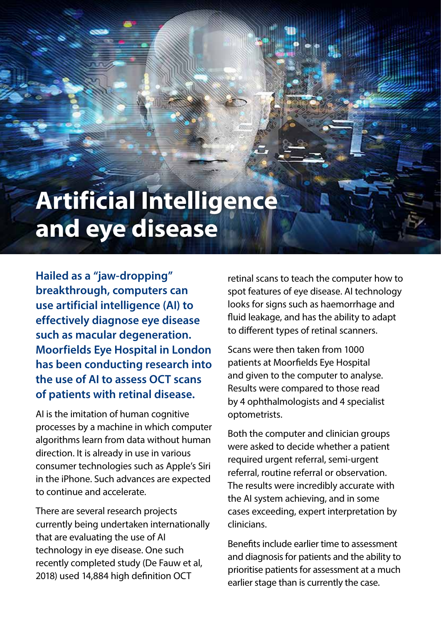# **Artificial Intelligence and eye disease**

**Hailed as a "jaw-dropping" breakthrough, computers can use artificial intelligence (AI) to effectively diagnose eye disease such as macular degeneration. Moorfields Eye Hospital in London has been conducting research into the use of AI to assess OCT scans of patients with retinal disease.**

AI is the imitation of human cognitive processes by a machine in which computer algorithms learn from data without human direction. It is already in use in various consumer technologies such as Apple's Siri in the iPhone. Such advances are expected to continue and accelerate.

There are several research projects currently being undertaken internationally that are evaluating the use of AI technology in eye disease. One such recently completed study (De Fauw et al, 2018) used 14,884 high definition OCT

retinal scans to teach the computer how to spot features of eye disease. AI technology looks for signs such as haemorrhage and fluid leakage, and has the ability to adapt to different types of retinal scanners.

Scans were then taken from 1000 patients at Moorfields Eye Hospital and given to the computer to analyse. Results were compared to those read by 4 ophthalmologists and 4 specialist optometrists.

Both the computer and clinician groups were asked to decide whether a patient required urgent referral, semi-urgent referral, routine referral or observation. The results were incredibly accurate with the AI system achieving, and in some cases exceeding, expert interpretation by clinicians.

Benefits include earlier time to assessment and diagnosis for patients and the ability to prioritise patients for assessment at a much earlier stage than is currently the case.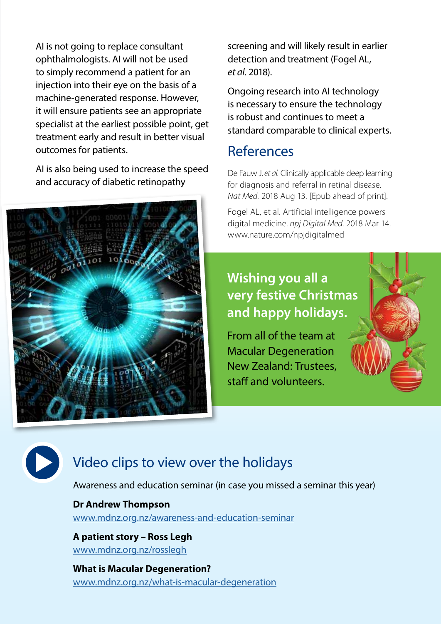AI is not going to replace consultant ophthalmologists. AI will not be used to simply recommend a patient for an injection into their eye on the basis of a machine-generated response. However, it will ensure patients see an appropriate specialist at the earliest possible point, get treatment early and result in better visual outcomes for patients.

AI is also being used to increase the speed and accuracy of diabetic retinopathy



screening and will likely result in earlier detection and treatment (Fogel AL, *et al*. 2018).

Ongoing research into AI technology is necessary to ensure the technology is robust and continues to meet a standard comparable to clinical experts.

### References

De Fauw J, *et al.* Clinically applicable deep learning for diagnosis and referral in retinal disease. *Nat Med.* 2018 Aug 13. [Epub ahead of print].

Fogel AL, et al. Artificial intelligence powers digital medicine. *npj Digital Med.* 2018 Mar 14. www.nature.com/npjdigitalmed

## **Wishing you all a very festive Christmas and happy holidays.**

From all of the team at Macular Degeneration New Zealand: Trustees, staff and volunteers.



# Video clips to view over the holidays

Awareness and education seminar (in case you missed a seminar this year)

#### **Dr Andrew Thompson**

www.mdnz.org.nz/awareness-and-education-seminar

**A patient story – Ross Legh** www.mdnz.org.nz/rosslegh

**What is Macular Degeneration?** www.mdnz.org.nz/what-is-macular-degeneration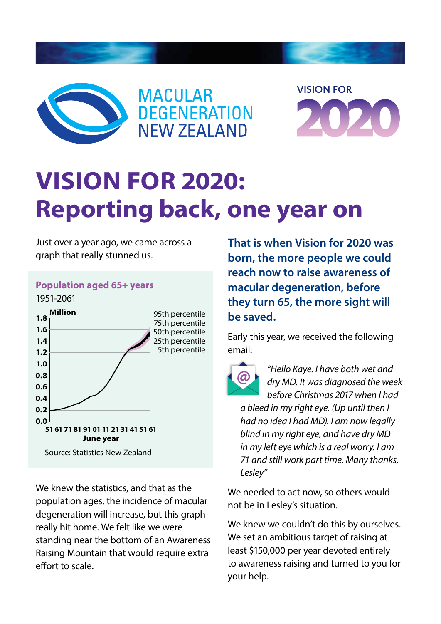





# **VISION FOR 2020: Reporting back, one year on**

Just over a year ago, we came across a graph that really stunned us.

#### **1.8 1.6 1.4 1.2 1.0 0.8 0.6 Million Population aged 65+ years** 1951-2061 95th percentile 75th percentile 50th percentile 25th percentile 5th percentile

**51 61 71 81 91 01 11 21 31 41 51 61 June year** Source: Statistics New Zealand

**0.4 0.2 0.0**

We knew the statistics, and that as the population ages, the incidence of macular degeneration will increase, but this graph really hit home. We felt like we were standing near the bottom of an Awareness Raising Mountain that would require extra effort to scale. **Example 19 Separation and Separation will increase, but this graph**<br> **\$31,000** per year devoted entirely<br> **S21,000** per year devoted entirely<br> **\$31,000** per year devoted entirely<br> **\$31,000** per year devoted entirely

**That is when Vision for 2020 was born, the more people we could reach now to raise awareness of macular degeneration, before they turn 65, the more sight will be saved.**

Early this year, we received the following email:



*"Hello Kaye. I have both wet and dry MD. It was diagnosed the week before Christmas 2017 when I had* 

*a bleed in my right eye. (Up until then I had no idea I had MD). I am now legally blind in my right eye, and have dry MD in my left eye which is a real worry. I am 71 and still work part time. Many thanks, Lesley"* 51 61 71 81 91 01 11 21 31 41 51 61<br>
June year<br>
Source: Statistics New Zealand<br>
Source: Statistics New Zealand<br>
The Cost of National Source: Statistics New Zealand<br>
The Cost of National Source: Many thanks,<br>
Lesley"

We needed to act now, so others would not be in Lesley's situation.

We knew we couldn't do this by ourselves. We set an ambitious target of raising at least \$150,000 per year devoted entirely to awareness raising and turned to you for your help. to awareness raising and turned<br>your help.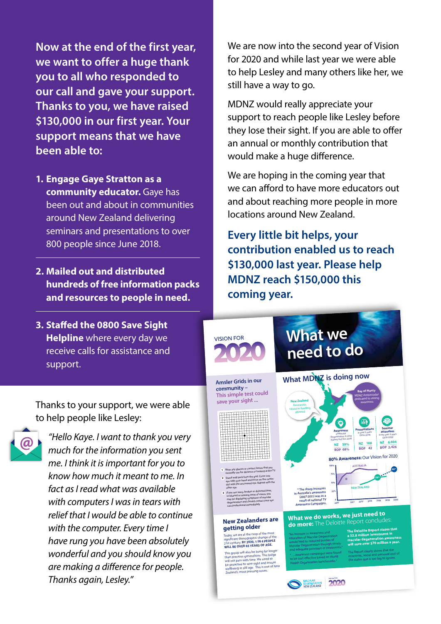**Now at the end of the first year, we want to offer a huge thank you to all who responded to our call and gave your support. Thanks to you, we have raised \$130,000 in our first year. Your support means that we have been able to:**

- **1. Engage Gaye Stratton as a community educator.** Gaye has been out and about in communities around New Zealand delivering seminars and presentations to over 800 people since June 2018.
- **2. Mailed out and distributed hundreds of free information packs and resources to people in need.**
- **3. Staffed the 0800 Save Sight Helpline** where every day we receive calls for assistance and support.

Thanks to your support, we were able to help people like Lesley:



*"Hello Kaye. I want to thank you very much for the information you sent me. I think it is important for you to know how much it meant to me. In fact as I read what was available*  with computers I was in tears with<br>mlisf that levedd he alde te coutines relief that I would be able to continue<br>with the computer. Every time I *have rung you have been absolutely wonderful and you should know you are making a difference for people. Thanks again, Lesley."*

We are now into the second year of Vision for 2020 and while last year we were able to help Lesley and many others like her, we still have a way to go.

MDNZ would really appreciate your support to reach people like Lesley before they lose their sight. If you are able to offer an annual or monthly contribution that would make a huge difference.

We are hoping in the coming year that we can afford to have more educators out and about reaching more people in more locations around New Zealand.

**Every little bit helps, your contribution enabled us to reach \$130,000 last year. Please help MDNZ reach \$150,000 this coming year.**



Today, we are at the cusp of the most significant demographic change of the 21st century. **BY 2030, 1 IN 4 PEOPLE WILL BE OVER 65 YEARS OF AGE.**

This group will also be living for lo<br>this group will also be living for lo<br>this previous generations. This by than previous generations. This bulge<br>will not pass with time. We need to<br>be proactive to save sight and ensure<br>wellbeing in old age. This is one of New<br>Tealand's most pressing issues.

would lead to reduced burden of manufactured burden of manufactured with the manufactured with the manufactured with the manufactured with the manufactured with the manufactured with the manufactured with the manufactured would lead to reduced burden of Macular Degeneration through timely and adequate provision of treatments." ".....awareness campaigns were found to be cost effective based on World Health Organization benchmarks."

**macular degeneration awareness will save over \$70 million a year.**

The Report clearly shows that the economic, social and personal cost of the status quo is too big to ignore.

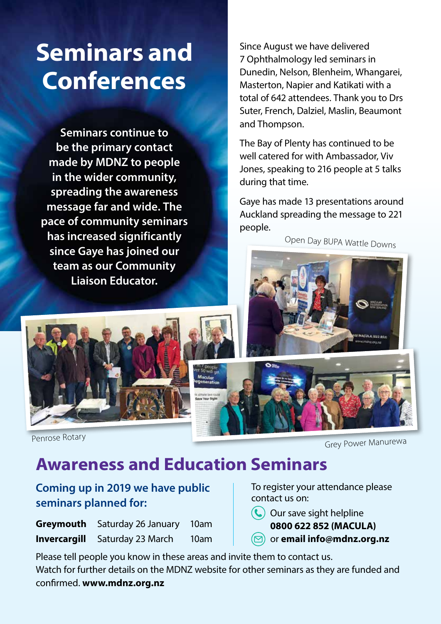# **Seminars and Conferences**

**Seminars continue to be the primary contact made by MDNZ to people in the wider community, spreading the awareness message far and wide. The pace of community seminars has increased significantly since Gaye has joined our team as our Community Liaison Educator.** 

Since August we have delivered 7 Ophthalmology led seminars in Dunedin, Nelson, Blenheim, Whangarei, Masterton, Napier and Katikati with a total of 642 attendees. Thank you to Drs Suter, French, Dalziel, Maslin, Beaumont and Thompson.

The Bay of Plenty has continued to be well catered for with Ambassador, Viv Jones, speaking to 216 people at 5 talks during that time.

Gaye has made 13 presentations around Auckland spreading the message to 221 people.

Open Day BUPA Wattle Downs





Penrose Rotary

Grey Power Manurewa

MACULA (622 852)

# **Awareness and Education Seminars**

### **Coming up in 2019 we have public seminars planned for:**

| <b>Greymouth</b> Saturday 26 January 10am |      |
|-------------------------------------------|------|
| <b>Invercargill</b> Saturday 23 March     | 10am |

To register your attendance please contact us on:

- **(C)** Our save sight helpline **0800 622 852 (MACULA)**
- or **email info@mdnz.org.nz**

Please tell people you know in these areas and invite them to contact us. Watch for further details on the MDNZ website for other seminars as they are funded and confirmed. **www.mdnz.org.nz**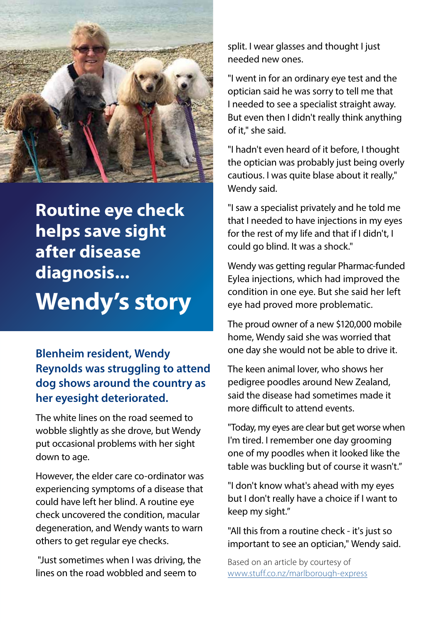

**Routine eye check helps save sight after disease diagnosis... Wendy's story**

### **Blenheim resident, Wendy Reynolds was struggling to attend dog shows around the country as her eyesight deteriorated.**

The white lines on the road seemed to wobble slightly as she drove, but Wendy put occasional problems with her sight down to age.

However, the elder care co-ordinator was experiencing symptoms of a disease that could have left her blind. A routine eye check uncovered the condition, macular degeneration, and Wendy wants to warn others to get regular eye checks.

 "Just sometimes when I was driving, the lines on the road wobbled and seem to

split. I wear glasses and thought I just needed new ones.

"I went in for an ordinary eye test and the optician said he was sorry to tell me that I needed to see a specialist straight away. But even then I didn't really think anything of it," she said.

"I hadn't even heard of it before, I thought the optician was probably just being overly cautious. I was quite blase about it really," Wendy said.

"I saw a specialist privately and he told me that I needed to have injections in my eyes for the rest of my life and that if I didn't, I could go blind. It was a shock."

Wendy was getting regular Pharmac-funded Eylea injections, which had improved the condition in one eye. But she said her left eye had proved more problematic.

The proud owner of a new \$120,000 mobile home, Wendy said she was worried that one day she would not be able to drive it.

The keen animal lover, who shows her pedigree poodles around New Zealand, said the disease had sometimes made it more difficult to attend events.

"Today, my eyes are clear but get worse when I'm tired. I remember one day grooming one of my poodles when it looked like the table was buckling but of course it wasn't."

"I don't know what's ahead with my eyes but I don't really have a choice if I want to keep my sight."

"All this from a routine check - it's just so important to see an optician," Wendy said.

Based on an article by courtesy of www.stuff.co.nz/marlborough-express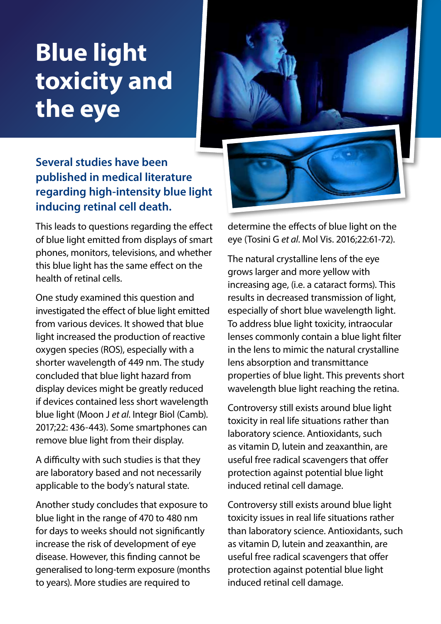# **Blue light toxicity and the eye**

### **Several studies have been published in medical literature regarding high-intensity blue light inducing retinal cell death.**

This leads to questions regarding the effect of blue light emitted from displays of smart phones, monitors, televisions, and whether this blue light has the same effect on the health of retinal cells.

One study examined this question and investigated the effect of blue light emitted from various devices. It showed that blue light increased the production of reactive oxygen species (ROS), especially with a shorter wavelength of 449 nm. The study concluded that blue light hazard from display devices might be greatly reduced if devices contained less short wavelength blue light (Moon J *et al*. Integr Biol (Camb). 2017;22: 436-443). Some smartphones can remove blue light from their display.

A difficulty with such studies is that they are laboratory based and not necessarily applicable to the body's natural state.

Another study concludes that exposure to blue light in the range of 470 to 480 nm for days to weeks should not significantly increase the risk of development of eye disease. However, this finding cannot be generalised to long-term exposure (months to years). More studies are required to



determine the effects of blue light on the eye (Tosini G *et al*. Mol Vis. 2016;22:61-72).

The natural crystalline lens of the eye grows larger and more yellow with increasing age, (i.e. a cataract forms). This results in decreased transmission of light, especially of short blue wavelength light. To address blue light toxicity, intraocular lenses commonly contain a blue light filter in the lens to mimic the natural crystalline lens absorption and transmittance properties of blue light. This prevents short wavelength blue light reaching the retina.

Controversy still exists around blue light toxicity in real life situations rather than laboratory science. Antioxidants, such as vitamin D, lutein and zeaxanthin, are useful free radical scavengers that offer protection against potential blue light induced retinal cell damage.

Controversy still exists around blue light toxicity issues in real life situations rather than laboratory science. Antioxidants, such as vitamin D, lutein and zeaxanthin, are useful free radical scavengers that offer protection against potential blue light induced retinal cell damage.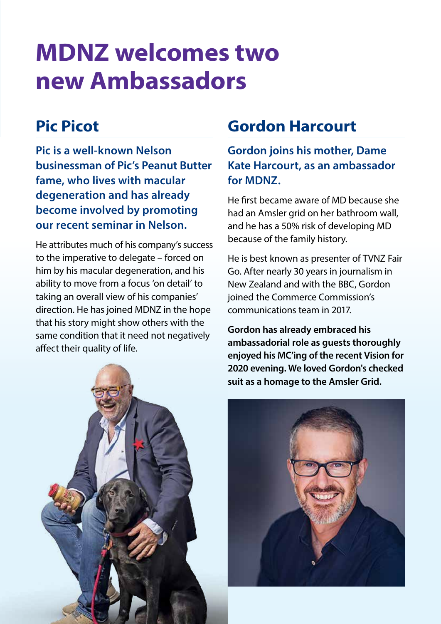# **MDNZ welcomes two new Ambassadors**

# **Pic Picot**

**Pic is a well-known Nelson businessman of Pic's Peanut Butter fame, who lives with macular degeneration and has already become involved by promoting our recent seminar in Nelson.** 

He attributes much of his company's success to the imperative to delegate – forced on him by his macular degeneration, and his ability to move from a focus 'on detail' to taking an overall view of his companies' direction. He has joined MDNZ in the hope that his story might show others with the same condition that it need not negatively affect their quality of life.

# **Gordon Harcourt**

**Gordon joins his mother, Dame Kate Harcourt, as an ambassador for MDNZ.** 

He first became aware of MD because she had an Amsler grid on her bathroom wall, and he has a 50% risk of developing MD because of the family history.

He is best known as presenter of TVNZ Fair Go. After nearly 30 years in journalism in New Zealand and with the BBC, Gordon joined the Commerce Commission's communications team in 2017.

**Gordon has already embraced his ambassadorial role as guests thoroughly enjoyed his MC'ing of the recent Vision for 2020 evening. We loved Gordon's checked suit as a homage to the Amsler Grid.** 

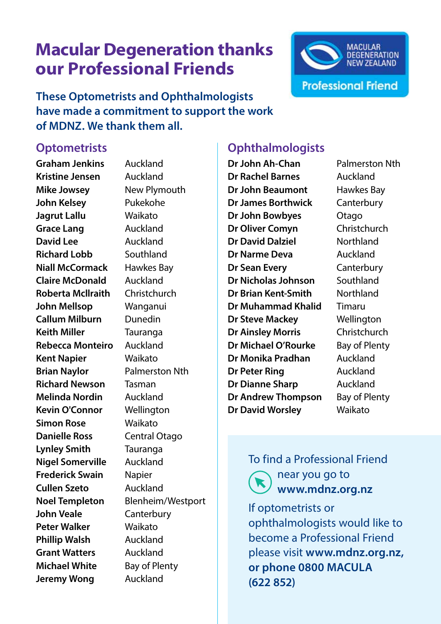# **Macular Degeneration thanks our Professional Friends**



**These Optometrists and Ophthalmologists have made a commitment to support the work of MDNZ. We thank them all.**

#### **Optometrists**

**Graham Jenkins** Auckland **Kristine Jensen** Auckland **Mike Jowsey** New Plymouth **John Kelsey** Pukekohe **Jagrut Lallu** Waikato **Grace Lang** Auckland **David Lee** Auckland **Richard Lobb** Southland **Niall McCormack** Hawkes Bay **Claire McDonald** Auckland **Roberta Mcllraith** Christchurch **John Mellsop** Wanganui **Callum Milburn** Dunedin **Keith Miller** Tauranga **Rebecca Monteiro** Auckland **Kent Napier** Waikato **Brian Naylor** Palmerston Nth **Richard Newson** Tasman **Melinda Nordin** Auckland **Kevin O'Connor** Wellington **Simon Rose** Waikato **Danielle Ross** Central Otago **Lynley Smith** Tauranga **Nigel Somerville** Auckland **Frederick Swain** Napier **Cullen Szeto** Auckland **Noel Templeton** Blenheim/Westport **John Veale** Canterbury **Peter Walker** Waikato **Phillip Walsh** Auckland **Grant Watters** Auckland **Michael White** Bay of Plenty **Jeremy Wong** Auckland

### **Ophthalmologists**

**Dr John Ah-Chan** Palmerston Nth **Dr Rachel Barnes** Auckland **Dr John Beaumont** Hawkes Bay **Dr James Borthwick** Canterbury **Dr John Bowbyes** Otago **Dr Oliver Comyn** Christchurch **Dr David Dalziel** Northland **Dr Narme Deva** Auckland **Dr Sean Every** Canterbury **Dr Nicholas Johnson** Southland **Dr Brian Kent-Smith** Northland **Dr Muhammad Khalid** Timaru **Dr Steve Mackey** Wellington **Dr Ainsley Morris** Christchurch **Dr Michael O'Rourke** Bay of Plenty **Dr Monika Pradhan** Auckland **Dr Peter Ring Manual Auckland Dr Dianne Sharp** Auckland **Dr Andrew Thompson** Bay of Plenty **Dr David Worsley** Waikato

#### To find a Professional Friend near you go to  **www.mdnz.org.nz**

If optometrists or ophthalmologists would like to become a Professional Friend please visit **www.mdnz.org.nz, or phone 0800 MACULA (622 852)**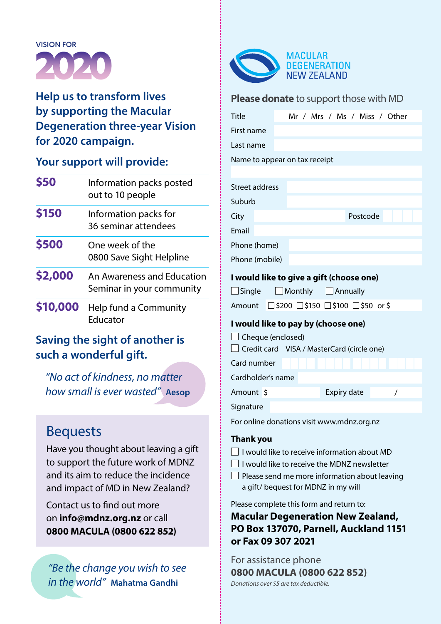

### **Help us to transform lives by supporting the Macular Degeneration three-year Vision for 2020 campaign.**

#### **Your support will provide:**

| \$50     | Information packs posted<br>out to 10 people            |
|----------|---------------------------------------------------------|
| \$150    | Information packs for<br>36 seminar attendees           |
| \$500    | One week of the<br>0800 Save Sight Helpline             |
| \$2,000  | An Awareness and Education<br>Seminar in your community |
| \$10,000 | Help fund a Community<br>Educator                       |
|          | Carriera de a abaldo a Camada ante                      |

# **Saving the sight of another is such a wonderful gift. such a wonderfully**<br> **Such a wonderfully**<br> **Sourconally** is even

*"No act of kindness, no matter how small is ever wasted"* **Aesop**

# Bequests now sm

Have you thought about leaving a gift to support the future work of MDNZ and its aim to reduce the incidence and impact of MD in New Zealand?

Contact us to find out more on **info@mdnz.org.nz** or call *"An increase in awareness and*  **0800 MACULA (0800 622 852) EDUCATION OF A WOULD WOULD LEAD TO A VEHICLE A** 

*to reduce the change you wish to see Degeneration the world"* Mahath *in the world"* **Mahatma Gandhi**



#### **Please donate** to support those with MD

| <b>Title</b>                                                                                                                                                      | Mr / Mrs / Ms / Miss / Other                                                                                                           |  |  |
|-------------------------------------------------------------------------------------------------------------------------------------------------------------------|----------------------------------------------------------------------------------------------------------------------------------------|--|--|
| First name                                                                                                                                                        |                                                                                                                                        |  |  |
| Last name                                                                                                                                                         |                                                                                                                                        |  |  |
|                                                                                                                                                                   | Name to appear on tax receipt                                                                                                          |  |  |
|                                                                                                                                                                   |                                                                                                                                        |  |  |
| Street address                                                                                                                                                    |                                                                                                                                        |  |  |
| Suburb                                                                                                                                                            |                                                                                                                                        |  |  |
| City                                                                                                                                                              | Postcode                                                                                                                               |  |  |
| Email                                                                                                                                                             |                                                                                                                                        |  |  |
| Phone (home)                                                                                                                                                      |                                                                                                                                        |  |  |
| Phone (mobile)                                                                                                                                                    |                                                                                                                                        |  |  |
| I would like to give a gift (choose one)<br>$\Box$ Single<br>$\Box$ Monthly $\Box$ Annually<br>$\Box$ \$200 $\Box$ \$150 $\Box$ \$100 $\Box$ \$50 or \$<br>Amount |                                                                                                                                        |  |  |
| I would like to pay by (choose one)                                                                                                                               |                                                                                                                                        |  |  |
| $\Box$ Cheque (enclosed)<br>$\Box$ Credit card VISA / MasterCard (circle one)                                                                                     |                                                                                                                                        |  |  |
| Card number                                                                                                                                                       |                                                                                                                                        |  |  |
| Cardholder's name                                                                                                                                                 |                                                                                                                                        |  |  |
| Amount \$                                                                                                                                                         | Expiry date<br>$\prime$                                                                                                                |  |  |
| Signature                                                                                                                                                         |                                                                                                                                        |  |  |
|                                                                                                                                                                   | For online donations visit www.mdnz.org.nz                                                                                             |  |  |
| <b>Thank you</b>                                                                                                                                                  | $\Box$ I would like to receive information about MD<br>$\Box$ I would like to receive the MDNZ newsletter                              |  |  |
|                                                                                                                                                                   | $\Box$ Please send me more information about leaving<br>a gift/bequest for MDNZ in my will<br>Please complete this form and return to: |  |  |

**Macular Degeneration New Zealand, PO Box 137070, Parnell, Auckland 1151 or Fax 09 307 2021**

For assistance phone **0800 MACULA (0800 622 852)** *Donations over \$5 are tax deductible.*